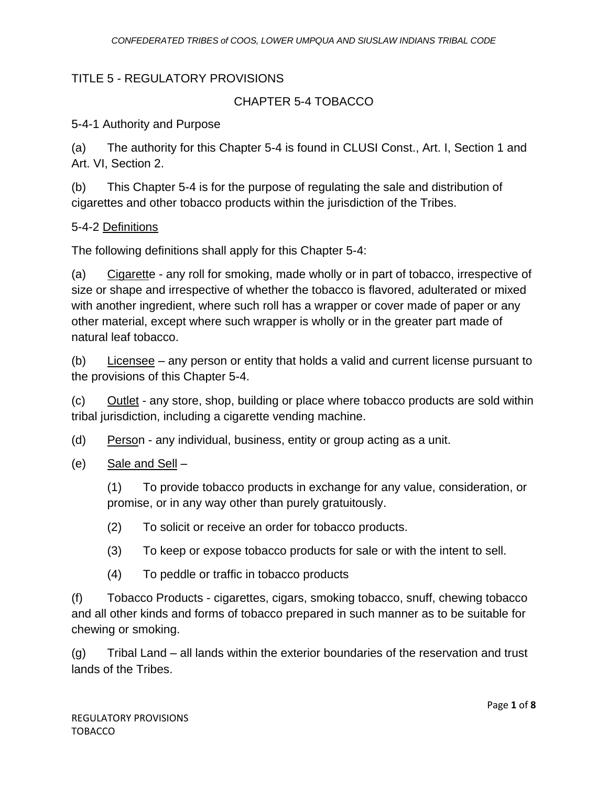### TITLE 5 - REGULATORY PROVISIONS

## CHAPTER 5-4 TOBACCO

### 5-4-1 Authority and Purpose

(a) The authority for this Chapter 5-4 is found in CLUSI Const., Art. I, Section 1 and Art. VI, Section 2.

(b) This Chapter 5-4 is for the purpose of regulating the sale and distribution of cigarettes and other tobacco products within the jurisdiction of the Tribes.

### 5-4-2 Definitions

The following definitions shall apply for this Chapter 5-4:

(a) Cigarette - any roll for smoking, made wholly or in part of tobacco, irrespective of size or shape and irrespective of whether the tobacco is flavored, adulterated or mixed with another ingredient, where such roll has a wrapper or cover made of paper or any other material, except where such wrapper is wholly or in the greater part made of natural leaf tobacco.

(b) Licensee – any person or entity that holds a valid and current license pursuant to the provisions of this Chapter 5-4.

(c) Outlet - any store, shop, building or place where tobacco products are sold within tribal jurisdiction, including a cigarette vending machine.

(d) Person - any individual, business, entity or group acting as a unit.

(e) Sale and Sell  $-$ 

(1) To provide tobacco products in exchange for any value, consideration, or promise, or in any way other than purely gratuitously.

- (2) To solicit or receive an order for tobacco products.
- (3) To keep or expose tobacco products for sale or with the intent to sell.
- (4) To peddle or traffic in tobacco products

(f) Tobacco Products - cigarettes, cigars, smoking tobacco, snuff, chewing tobacco and all other kinds and forms of tobacco prepared in such manner as to be suitable for chewing or smoking.

(g) Tribal Land – all lands within the exterior boundaries of the reservation and trust lands of the Tribes.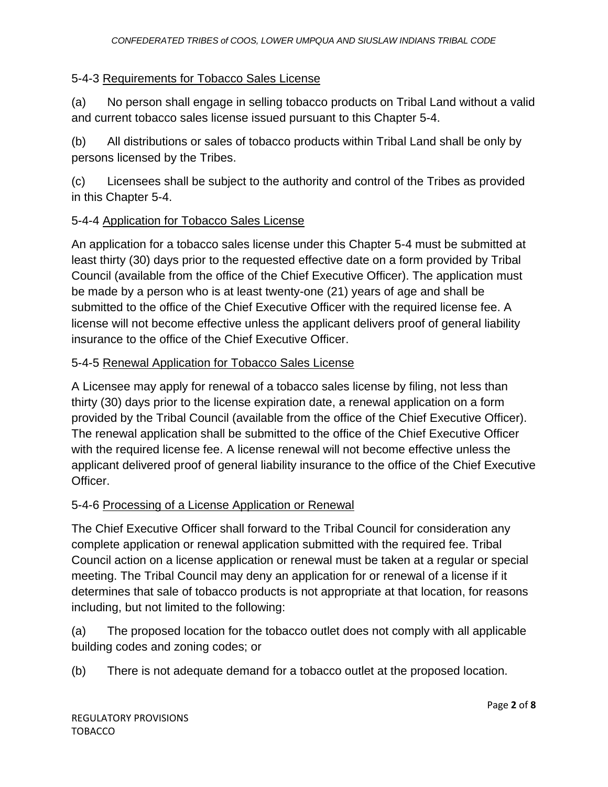### 5-4-3 Requirements for Tobacco Sales License

(a) No person shall engage in selling tobacco products on Tribal Land without a valid and current tobacco sales license issued pursuant to this Chapter 5-4.

(b) All distributions or sales of tobacco products within Tribal Land shall be only by persons licensed by the Tribes.

(c) Licensees shall be subject to the authority and control of the Tribes as provided in this Chapter 5-4.

### 5-4-4 Application for Tobacco Sales License

An application for a tobacco sales license under this Chapter 5-4 must be submitted at least thirty (30) days prior to the requested effective date on a form provided by Tribal Council (available from the office of the Chief Executive Officer). The application must be made by a person who is at least twenty-one (21) years of age and shall be submitted to the office of the Chief Executive Officer with the required license fee. A license will not become effective unless the applicant delivers proof of general liability insurance to the office of the Chief Executive Officer.

#### 5-4-5 Renewal Application for Tobacco Sales License

A Licensee may apply for renewal of a tobacco sales license by filing, not less than thirty (30) days prior to the license expiration date, a renewal application on a form provided by the Tribal Council (available from the office of the Chief Executive Officer). The renewal application shall be submitted to the office of the Chief Executive Officer with the required license fee. A license renewal will not become effective unless the applicant delivered proof of general liability insurance to the office of the Chief Executive Officer.

#### 5-4-6 Processing of a License Application or Renewal

The Chief Executive Officer shall forward to the Tribal Council for consideration any complete application or renewal application submitted with the required fee. Tribal Council action on a license application or renewal must be taken at a regular or special meeting. The Tribal Council may deny an application for or renewal of a license if it determines that sale of tobacco products is not appropriate at that location, for reasons including, but not limited to the following:

(a) The proposed location for the tobacco outlet does not comply with all applicable building codes and zoning codes; or

(b) There is not adequate demand for a tobacco outlet at the proposed location.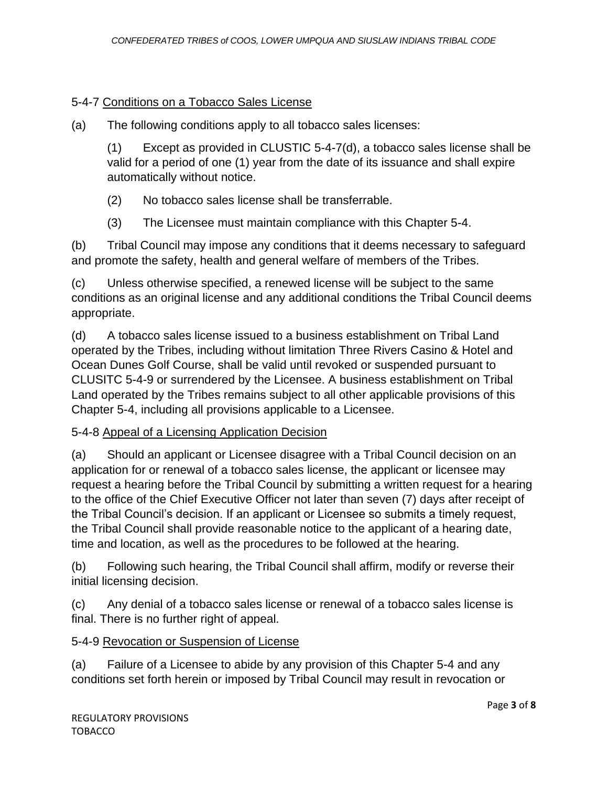## 5-4-7 Conditions on a Tobacco Sales License

(a) The following conditions apply to all tobacco sales licenses:

(1) Except as provided in CLUSTIC 5-4-7(d), a tobacco sales license shall be valid for a period of one (1) year from the date of its issuance and shall expire automatically without notice.

- (2) No tobacco sales license shall be transferrable.
- (3) The Licensee must maintain compliance with this Chapter 5-4.

(b) Tribal Council may impose any conditions that it deems necessary to safeguard and promote the safety, health and general welfare of members of the Tribes.

(c) Unless otherwise specified, a renewed license will be subject to the same conditions as an original license and any additional conditions the Tribal Council deems appropriate.

(d) A tobacco sales license issued to a business establishment on Tribal Land operated by the Tribes, including without limitation Three Rivers Casino & Hotel and Ocean Dunes Golf Course, shall be valid until revoked or suspended pursuant to CLUSITC 5-4-9 or surrendered by the Licensee. A business establishment on Tribal Land operated by the Tribes remains subject to all other applicable provisions of this Chapter 5-4, including all provisions applicable to a Licensee.

# 5-4-8 Appeal of a Licensing Application Decision

(a) Should an applicant or Licensee disagree with a Tribal Council decision on an application for or renewal of a tobacco sales license, the applicant or licensee may request a hearing before the Tribal Council by submitting a written request for a hearing to the office of the Chief Executive Officer not later than seven (7) days after receipt of the Tribal Council's decision. If an applicant or Licensee so submits a timely request, the Tribal Council shall provide reasonable notice to the applicant of a hearing date, time and location, as well as the procedures to be followed at the hearing.

(b) Following such hearing, the Tribal Council shall affirm, modify or reverse their initial licensing decision.

(c) Any denial of a tobacco sales license or renewal of a tobacco sales license is final. There is no further right of appeal.

# 5-4-9 Revocation or Suspension of License

(a) Failure of a Licensee to abide by any provision of this Chapter 5-4 and any conditions set forth herein or imposed by Tribal Council may result in revocation or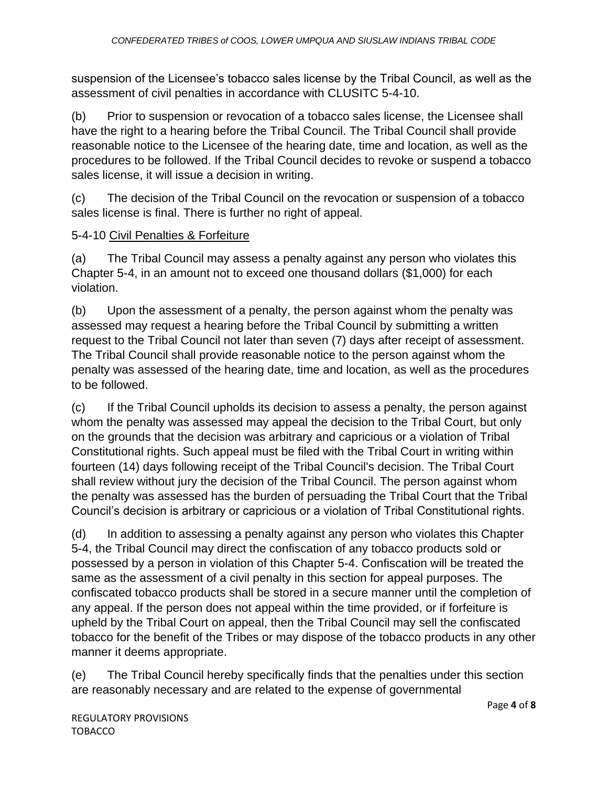suspension of the Licensee's tobacco sales license by the Tribal Council, as well as the assessment of civil penalties in accordance with CLUSITC 5-4-10.

(b) Prior to suspension or revocation of a tobacco sales license, the Licensee shall have the right to a hearing before the Tribal Council. The Tribal Council shall provide reasonable notice to the Licensee of the hearing date, time and location, as well as the procedures to be followed. If the Tribal Council decides to revoke or suspend a tobacco sales license, it will issue a decision in writing.

(c) The decision of the Tribal Council on the revocation or suspension of a tobacco sales license is final. There is further no right of appeal.

### 5-4-10 Civil Penalties & Forfeiture

(a) The Tribal Council may assess a penalty against any person who violates this Chapter 5-4, in an amount not to exceed one thousand dollars (\$1,000) for each violation.

(b) Upon the assessment of a penalty, the person against whom the penalty was assessed may request a hearing before the Tribal Council by submitting a written request to the Tribal Council not later than seven (7) days after receipt of assessment. The Tribal Council shall provide reasonable notice to the person against whom the penalty was assessed of the hearing date, time and location, as well as the procedures to be followed.

(c) If the Tribal Council upholds its decision to assess a penalty, the person against whom the penalty was assessed may appeal the decision to the Tribal Court, but only on the grounds that the decision was arbitrary and capricious or a violation of Tribal Constitutional rights. Such appeal must be filed with the Tribal Court in writing within fourteen (14) days following receipt of the Tribal Council's decision. The Tribal Court shall review without jury the decision of the Tribal Council. The person against whom the penalty was assessed has the burden of persuading the Tribal Court that the Tribal Council's decision is arbitrary or capricious or a violation of Tribal Constitutional rights.

(d) In addition to assessing a penalty against any person who violates this Chapter 5-4, the Tribal Council may direct the confiscation of any tobacco products sold or possessed by a person in violation of this Chapter 5-4. Confiscation will be treated the same as the assessment of a civil penalty in this section for appeal purposes. The confiscated tobacco products shall be stored in a secure manner until the completion of any appeal. If the person does not appeal within the time provided, or if forfeiture is upheld by the Tribal Court on appeal, then the Tribal Council may sell the confiscated tobacco for the benefit of the Tribes or may dispose of the tobacco products in any other manner it deems appropriate.

(e) The Tribal Council hereby specifically finds that the penalties under this section are reasonably necessary and are related to the expense of governmental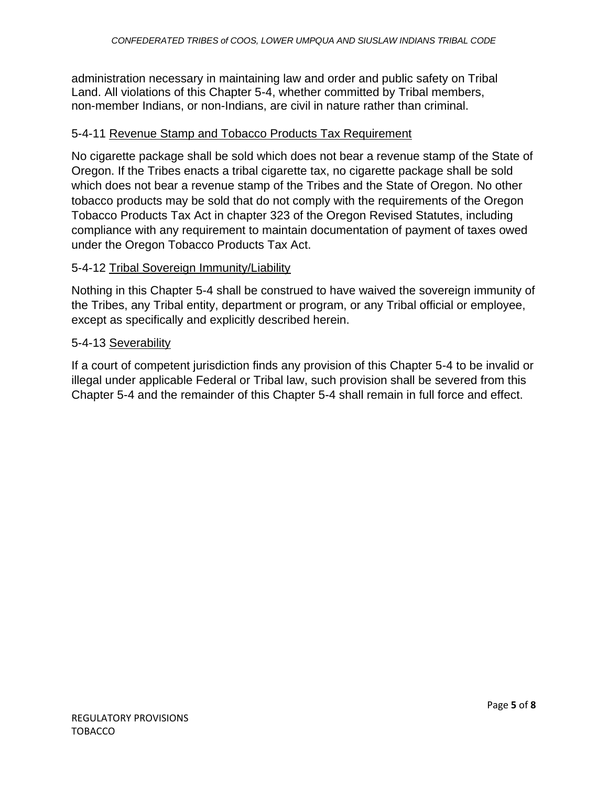administration necessary in maintaining law and order and public safety on Tribal Land. All violations of this Chapter 5-4, whether committed by Tribal members, non-member Indians, or non-Indians, are civil in nature rather than criminal.

### 5-4-11 Revenue Stamp and Tobacco Products Tax Requirement

No cigarette package shall be sold which does not bear a revenue stamp of the State of Oregon. If the Tribes enacts a tribal cigarette tax, no cigarette package shall be sold which does not bear a revenue stamp of the Tribes and the State of Oregon. No other tobacco products may be sold that do not comply with the requirements of the Oregon Tobacco Products Tax Act in chapter 323 of the Oregon Revised Statutes, including compliance with any requirement to maintain documentation of payment of taxes owed under the Oregon Tobacco Products Tax Act.

### 5-4-12 Tribal Sovereign Immunity/Liability

Nothing in this Chapter 5-4 shall be construed to have waived the sovereign immunity of the Tribes, any Tribal entity, department or program, or any Tribal official or employee, except as specifically and explicitly described herein.

#### 5-4-13 Severability

If a court of competent jurisdiction finds any provision of this Chapter 5-4 to be invalid or illegal under applicable Federal or Tribal law, such provision shall be severed from this Chapter 5-4 and the remainder of this Chapter 5-4 shall remain in full force and effect.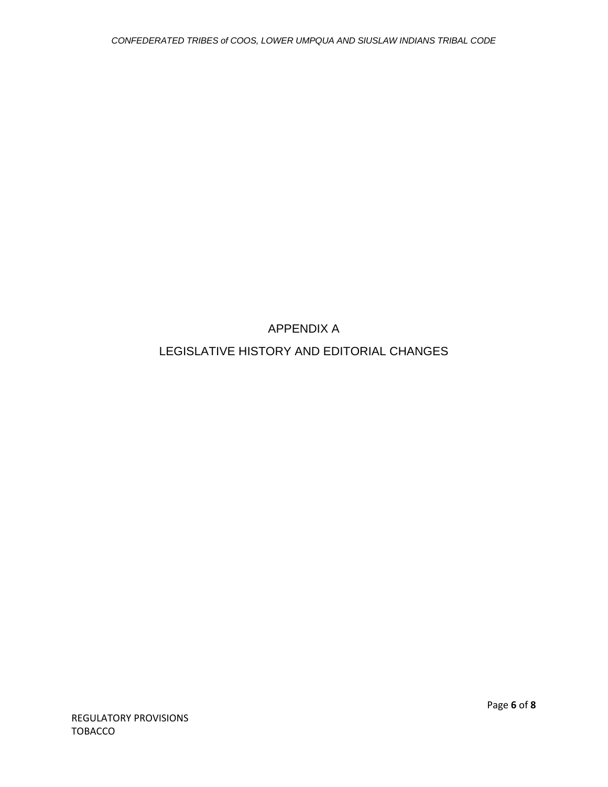APPENDIX A

LEGISLATIVE HISTORY AND EDITORIAL CHANGES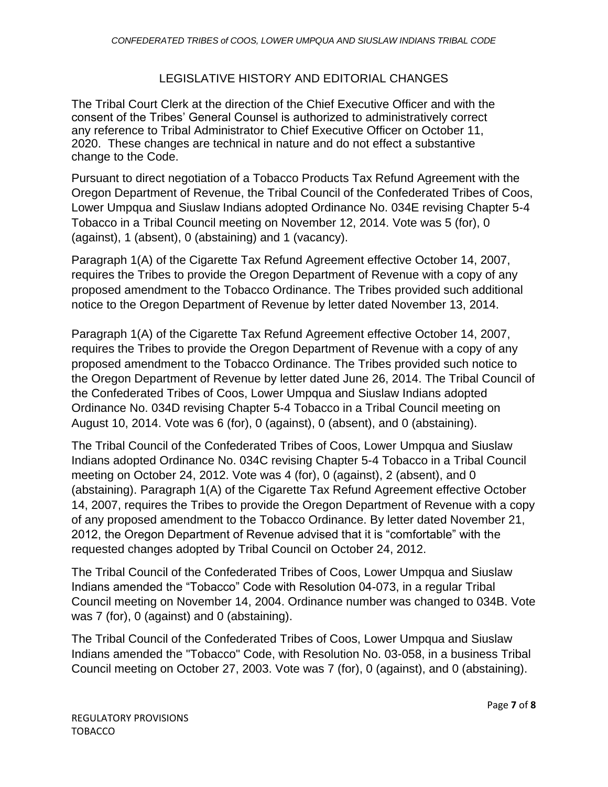### LEGISLATIVE HISTORY AND EDITORIAL CHANGES

The Tribal Court Clerk at the direction of the Chief Executive Officer and with the consent of the Tribes' General Counsel is authorized to administratively correct any reference to Tribal Administrator to Chief Executive Officer on October 11, 2020. These changes are technical in nature and do not effect a substantive change to the Code.

Pursuant to direct negotiation of a Tobacco Products Tax Refund Agreement with the Oregon Department of Revenue, the Tribal Council of the Confederated Tribes of Coos, Lower Umpqua and Siuslaw Indians adopted Ordinance No. 034E revising Chapter 5-4 Tobacco in a Tribal Council meeting on November 12, 2014. Vote was 5 (for), 0 (against), 1 (absent), 0 (abstaining) and 1 (vacancy).

Paragraph 1(A) of the Cigarette Tax Refund Agreement effective October 14, 2007, requires the Tribes to provide the Oregon Department of Revenue with a copy of any proposed amendment to the Tobacco Ordinance. The Tribes provided such additional notice to the Oregon Department of Revenue by letter dated November 13, 2014.

Paragraph 1(A) of the Cigarette Tax Refund Agreement effective October 14, 2007, requires the Tribes to provide the Oregon Department of Revenue with a copy of any proposed amendment to the Tobacco Ordinance. The Tribes provided such notice to the Oregon Department of Revenue by letter dated June 26, 2014. The Tribal Council of the Confederated Tribes of Coos, Lower Umpqua and Siuslaw Indians adopted Ordinance No. 034D revising Chapter 5-4 Tobacco in a Tribal Council meeting on August 10, 2014. Vote was 6 (for), 0 (against), 0 (absent), and 0 (abstaining).

The Tribal Council of the Confederated Tribes of Coos, Lower Umpqua and Siuslaw Indians adopted Ordinance No. 034C revising Chapter 5-4 Tobacco in a Tribal Council meeting on October 24, 2012. Vote was 4 (for), 0 (against), 2 (absent), and 0 (abstaining). Paragraph 1(A) of the Cigarette Tax Refund Agreement effective October 14, 2007, requires the Tribes to provide the Oregon Department of Revenue with a copy of any proposed amendment to the Tobacco Ordinance. By letter dated November 21, 2012, the Oregon Department of Revenue advised that it is "comfortable" with the requested changes adopted by Tribal Council on October 24, 2012.

The Tribal Council of the Confederated Tribes of Coos, Lower Umpqua and Siuslaw Indians amended the "Tobacco" Code with Resolution 04-073, in a regular Tribal Council meeting on November 14, 2004. Ordinance number was changed to 034B. Vote was 7 (for), 0 (against) and 0 (abstaining).

The Tribal Council of the Confederated Tribes of Coos, Lower Umpqua and Siuslaw Indians amended the "Tobacco" Code, with Resolution No. 03-058, in a business Tribal Council meeting on October 27, 2003. Vote was 7 (for), 0 (against), and 0 (abstaining).